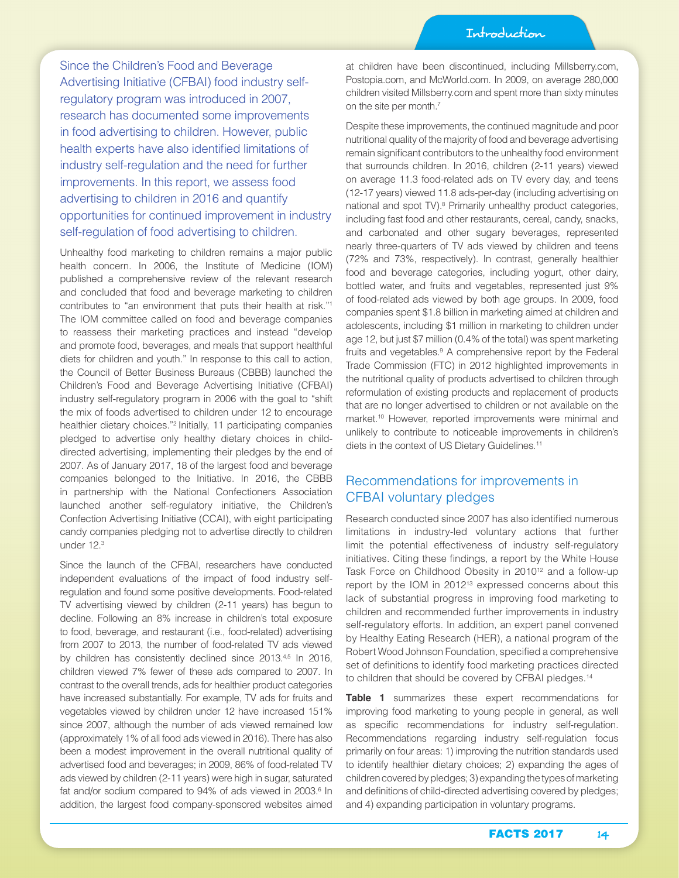Since the Children's Food and Beverage Advertising Initiative (CFBAI) food industry selfregulatory program was introduced in 2007, research has documented some improvements in food advertising to children. However, public health experts have also identified limitations of industry self-regulation and the need for further improvements. In this report, we assess food advertising to children in 2016 and quantify opportunities for continued improvement in industry self-regulation of food advertising to children.

Unhealthy food marketing to children remains a major public health concern. In 2006, the Institute of Medicine (IOM) published a comprehensive review of the relevant research and concluded that food and beverage marketing to children contributes to "an environment that puts their health at risk."1 The IOM committee called on food and beverage companies to reassess their marketing practices and instead "develop and promote food, beverages, and meals that support healthful diets for children and youth." In response to this call to action, the Council of Better Business Bureaus (CBBB) launched the Children's Food and Beverage Advertising Initiative (CFBAI) industry self-regulatory program in 2006 with the goal to "shift the mix of foods advertised to children under 12 to encourage healthier dietary choices."2 Initially, 11 participating companies pledged to advertise only healthy dietary choices in childdirected advertising, implementing their pledges by the end of 2007. As of January 2017, 18 of the largest food and beverage companies belonged to the Initiative. In 2016, the CBBB in partnership with the National Confectioners Association launched another self-regulatory initiative, the Children's Confection Advertising Initiative (CCAI), with eight participating candy companies pledging not to advertise directly to children under 12.3

Since the launch of the CFBAI, researchers have conducted independent evaluations of the impact of food industry selfregulation and found some positive developments. Food-related TV advertising viewed by children (2-11 years) has begun to decline. Following an 8% increase in children's total exposure to food, beverage, and restaurant (i.e., food-related) advertising from 2007 to 2013, the number of food-related TV ads viewed by children has consistently declined since 2013.<sup>4,5</sup> In 2016, children viewed 7% fewer of these ads compared to 2007. In contrast to the overall trends, ads for healthier product categories have increased substantially. For example, TV ads for fruits and vegetables viewed by children under 12 have increased 151% since 2007, although the number of ads viewed remained low (approximately 1% of all food ads viewed in 2016). There has also been a modest improvement in the overall nutritional quality of advertised food and beverages; in 2009, 86% of food-related TV ads viewed by children (2-11 years) were high in sugar, saturated fat and/or sodium compared to 94% of ads viewed in 2003.<sup>6</sup> In addition, the largest food company-sponsored websites aimed

at children have been discontinued, including Millsberry.com, Postopia.com, and McWorld.com. In 2009, on average 280,000 children visited Millsberry.com and spent more than sixty minutes on the site per month.<sup>7</sup>

Despite these improvements, the continued magnitude and poor nutritional quality of the majority of food and beverage advertising remain significant contributors to the unhealthy food environment that surrounds children. In 2016, children (2-11 years) viewed on average 11.3 food-related ads on TV every day, and teens (12-17 years) viewed 11.8 ads-per-day (including advertising on national and spot TV).<sup>8</sup> Primarily unhealthy product categories, including fast food and other restaurants, cereal, candy, snacks, and carbonated and other sugary beverages, represented nearly three-quarters of TV ads viewed by children and teens (72% and 73%, respectively). In contrast, generally healthier food and beverage categories, including yogurt, other dairy, bottled water, and fruits and vegetables, represented just 9% of food-related ads viewed by both age groups. In 2009, food companies spent \$1.8 billion in marketing aimed at children and adolescents, including \$1 million in marketing to children under age 12, but just \$7 million (0.4% of the total) was spent marketing fruits and vegetables.<sup>9</sup> A comprehensive report by the Federal Trade Commission (FTC) in 2012 highlighted improvements in the nutritional quality of products advertised to children through reformulation of existing products and replacement of products that are no longer advertised to children or not available on the market.10 However, reported improvements were minimal and unlikely to contribute to noticeable improvements in children's diets in the context of US Dietary Guidelines.11

### Recommendations for improvements in CFBAI voluntary pledges

Research conducted since 2007 has also identified numerous limitations in industry-led voluntary actions that further limit the potential effectiveness of industry self-regulatory initiatives. Citing these findings, a report by the White House Task Force on Childhood Obesity in 2010<sup>12</sup> and a follow-up report by the IOM in 2012<sup>13</sup> expressed concerns about this lack of substantial progress in improving food marketing to children and recommended further improvements in industry self-regulatory efforts. In addition, an expert panel convened by Healthy Eating Research (HER), a national program of the Robert Wood Johnson Foundation, specified a comprehensive set of definitions to identify food marketing practices directed to children that should be covered by CFBAI pledges.<sup>14</sup>

**Table 1** summarizes these expert recommendations for improving food marketing to young people in general, as well as specific recommendations for industry self-regulation. Recommendations regarding industry self-regulation focus primarily on four areas: 1) improving the nutrition standards used to identify healthier dietary choices; 2) expanding the ages of children covered by pledges; 3) expanding the types of marketing and definitions of child-directed advertising covered by pledges; and 4) expanding participation in voluntary programs.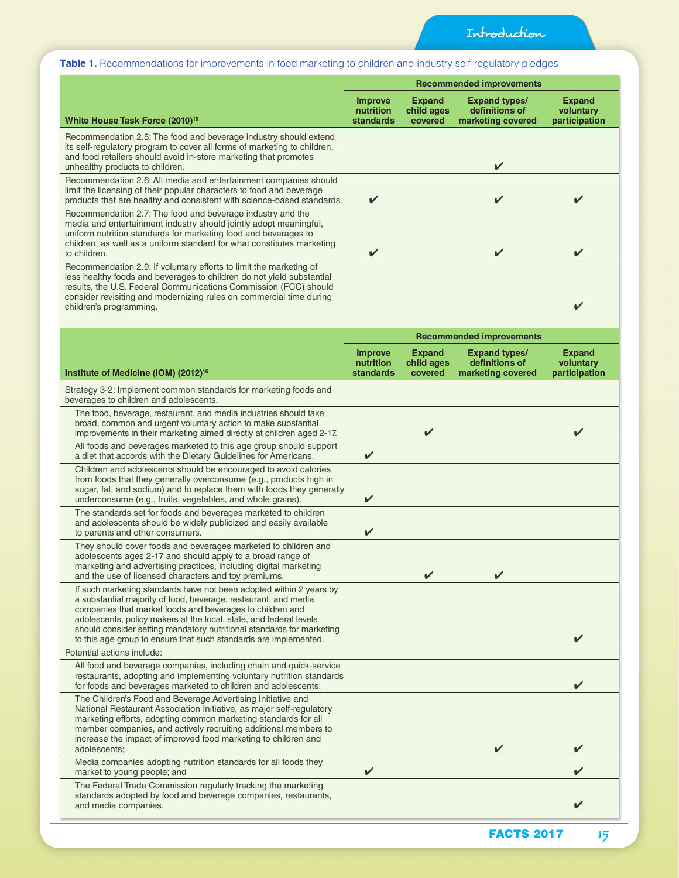### **Table 1.** Recommendations for improvements in food marketing to children and industry self-regulatory pledges

|                                                                                                                                                                                                                                                                                                                                                                                                                        | <b>Recommended improvements</b>          |                                        |                                                             |                                             |  |
|------------------------------------------------------------------------------------------------------------------------------------------------------------------------------------------------------------------------------------------------------------------------------------------------------------------------------------------------------------------------------------------------------------------------|------------------------------------------|----------------------------------------|-------------------------------------------------------------|---------------------------------------------|--|
| White House Task Force (2010) <sup>15</sup>                                                                                                                                                                                                                                                                                                                                                                            | Improve<br>nutrition<br><b>standards</b> | <b>Expand</b><br>child ages<br>covered | <b>Expand types/</b><br>definitions of<br>marketing covered | <b>Expand</b><br>voluntary<br>participation |  |
| Recommendation 2.5: The food and beverage industry should extend<br>its self-regulatory program to cover all forms of marketing to children,<br>and food retailers should avoid in-store marketing that promotes<br>unhealthy products to children.                                                                                                                                                                    |                                          |                                        | $\checkmark$                                                |                                             |  |
| Recommendation 2.6: All media and entertainment companies should<br>limit the licensing of their popular characters to food and beverage<br>products that are healthy and consistent with science-based standards.                                                                                                                                                                                                     | ✔                                        |                                        |                                                             |                                             |  |
| Recommendation 2.7: The food and beverage industry and the<br>media and entertainment industry should jointly adopt meaningful,<br>uniform nutrition standards for marketing food and beverages to<br>children, as well as a uniform standard for what constitutes marketing<br>to children.                                                                                                                           | V                                        |                                        | V                                                           |                                             |  |
| Recommendation 2.9: If voluntary efforts to limit the marketing of<br>less healthy foods and beverages to children do not yield substantial<br>results, the U.S. Federal Communications Commission (FCC) should<br>consider revisiting and modernizing rules on commercial time during<br>children's programming.                                                                                                      |                                          |                                        |                                                             |                                             |  |
|                                                                                                                                                                                                                                                                                                                                                                                                                        | <b>Recommended improvements</b>          |                                        |                                                             |                                             |  |
| Institute of Medicine (IOM) (2012) <sup>16</sup>                                                                                                                                                                                                                                                                                                                                                                       | Improve<br>nutrition<br><b>standards</b> | <b>Expand</b><br>child ages<br>covered | <b>Expand types/</b><br>definitions of<br>marketing covered | <b>Expand</b><br>voluntary<br>participation |  |
| Strategy 3-2: Implement common standards for marketing foods and<br>beverages to children and adolescents.                                                                                                                                                                                                                                                                                                             |                                          |                                        |                                                             |                                             |  |
| The food, beverage, restaurant, and media industries should take<br>broad, common and urgent voluntary action to make substantial<br>improvements in their marketing aimed directly at children aged 2-17.                                                                                                                                                                                                             |                                          |                                        |                                                             |                                             |  |
| All foods and beverages marketed to this age group should support<br>a diet that accords with the Dietary Guidelines for Americans.                                                                                                                                                                                                                                                                                    | ✔                                        |                                        |                                                             |                                             |  |
| Children and adolescents should be encouraged to avoid calories<br>from foods that they generally overconsume (e.g., products high in<br>sugar, fat, and sodium) and to replace them with foods they generally<br>underconsume (e.g., fruits, vegetables, and whole grains).                                                                                                                                           | ✔                                        |                                        |                                                             |                                             |  |
| The standards set for foods and beverages marketed to children<br>and adolescents should be widely publicized and easily available<br>to parents and other consumers.                                                                                                                                                                                                                                                  | ✔                                        |                                        |                                                             |                                             |  |
| They should cover foods and beverages marketed to children and<br>adolescents ages 2-17 and should apply to a broad range of<br>marketing and advertising practices, including digital marketing<br>and the use of licensed characters and toy premiums.                                                                                                                                                               |                                          | $\overline{\mathcal{L}}$               |                                                             |                                             |  |
| If such marketing standards have not been adopted within 2 years by<br>a substantial majority of food, beverage, restaurant, and media<br>companies that market foods and beverages to children and<br>adolescents, policy makers at the local, state, and federal levels<br>should consider setting mandatory nutritional standards for marketing<br>to this age group to ensure that such standards are implemented. |                                          |                                        |                                                             |                                             |  |
| Potential actions include:                                                                                                                                                                                                                                                                                                                                                                                             |                                          |                                        |                                                             |                                             |  |
| All food and beverage companies, including chain and quick-service<br>restaurants, adopting and implementing voluntary nutrition standards<br>for foods and beverages marketed to children and adolescents;                                                                                                                                                                                                            |                                          |                                        |                                                             |                                             |  |
| The Children's Food and Beverage Advertising Initiative and<br>National Restaurant Association Initiative, as major self-regulatory<br>marketing efforts, adopting common marketing standards for all<br>member companies, and actively recruiting additional members to<br>increase the impact of improved food marketing to children and<br>adolescents;                                                             |                                          |                                        | ✔                                                           |                                             |  |
| Media companies adopting nutrition standards for all foods they<br>market to young people; and                                                                                                                                                                                                                                                                                                                         | ✔                                        |                                        |                                                             |                                             |  |
| The Federal Trade Commission regularly tracking the marketing<br>standards adopted by food and beverage companies, restaurants,<br>and media companies.                                                                                                                                                                                                                                                                |                                          |                                        |                                                             |                                             |  |
|                                                                                                                                                                                                                                                                                                                                                                                                                        |                                          |                                        | <b>FACTS 2017</b>                                           | 15                                          |  |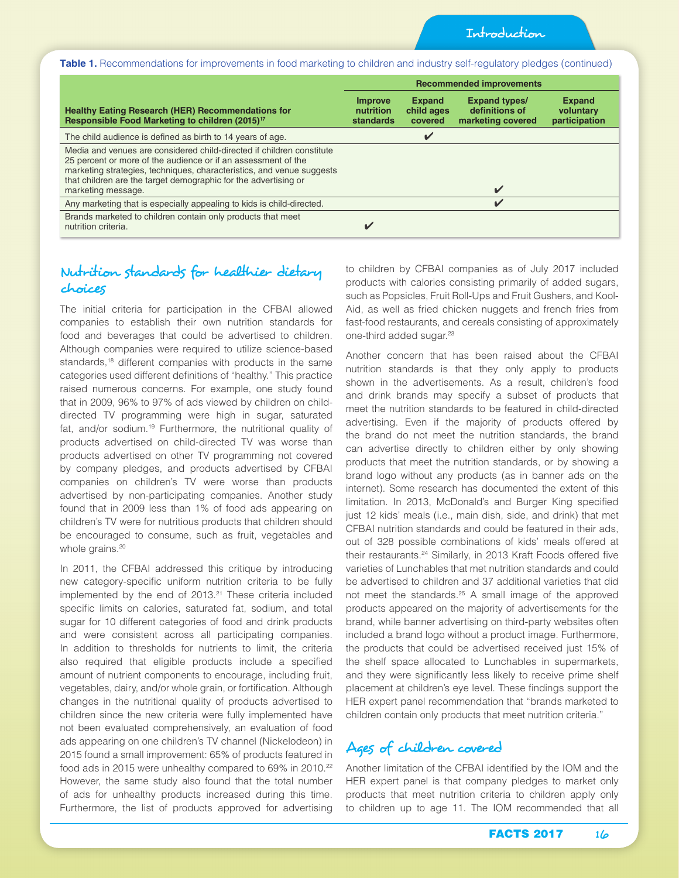Introduction

**Table 1.** Recommendations for improvements in food marketing to children and industry self-regulatory pledges (continued)

|                                                                                                                                                                                                                                                                                                          | <b>Recommended improvements</b>   |                                        |                                                             |                                             |  |
|----------------------------------------------------------------------------------------------------------------------------------------------------------------------------------------------------------------------------------------------------------------------------------------------------------|-----------------------------------|----------------------------------------|-------------------------------------------------------------|---------------------------------------------|--|
| <b>Healthy Eating Research (HER) Recommendations for</b><br>Responsible Food Marketing to children (2015) <sup>17</sup>                                                                                                                                                                                  | Improve<br>nutrition<br>standards | <b>Expand</b><br>child ages<br>covered | <b>Expand types/</b><br>definitions of<br>marketing covered | <b>Expand</b><br>voluntary<br>participation |  |
| The child audience is defined as birth to 14 years of age.                                                                                                                                                                                                                                               |                                   | V                                      |                                                             |                                             |  |
| Media and venues are considered child-directed if children constitute<br>25 percent or more of the audience or if an assessment of the<br>marketing strategies, techniques, characteristics, and venue suggests<br>that children are the target demographic for the advertising or<br>marketing message. |                                   |                                        | $\overline{\mathbf{v}}$                                     |                                             |  |
| Any marketing that is especially appealing to kids is child-directed.                                                                                                                                                                                                                                    |                                   |                                        | $\boldsymbol{\nu}$                                          |                                             |  |
| Brands marketed to children contain only products that meet<br>nutrition criteria.                                                                                                                                                                                                                       |                                   |                                        |                                                             |                                             |  |

## Nutrition standards for healthier dietary choices

The initial criteria for participation in the CFBAI allowed companies to establish their own nutrition standards for food and beverages that could be advertised to children. Although companies were required to utilize science-based standards,<sup>18</sup> different companies with products in the same categories used different definitions of "healthy." This practice raised numerous concerns. For example, one study found that in 2009, 96% to 97% of ads viewed by children on childdirected TV programming were high in sugar, saturated fat, and/or sodium.19 Furthermore, the nutritional quality of products advertised on child-directed TV was worse than products advertised on other TV programming not covered by company pledges, and products advertised by CFBAI companies on children's TV were worse than products advertised by non-participating companies. Another study found that in 2009 less than 1% of food ads appearing on children's TV were for nutritious products that children should be encouraged to consume, such as fruit, vegetables and whole grains.<sup>20</sup>

In 2011, the CFBAI addressed this critique by introducing new category-specific uniform nutrition criteria to be fully implemented by the end of 2013.<sup>21</sup> These criteria included specific limits on calories, saturated fat, sodium, and total sugar for 10 different categories of food and drink products and were consistent across all participating companies. In addition to thresholds for nutrients to limit, the criteria also required that eligible products include a specified amount of nutrient components to encourage, including fruit, vegetables, dairy, and/or whole grain, or fortification. Although changes in the nutritional quality of products advertised to children since the new criteria were fully implemented have not been evaluated comprehensively, an evaluation of food ads appearing on one children's TV channel (Nickelodeon) in 2015 found a small improvement: 65% of products featured in food ads in 2015 were unhealthy compared to 69% in 2010.<sup>22</sup> However, the same study also found that the total number of ads for unhealthy products increased during this time. Furthermore, the list of products approved for advertising

to children by CFBAI companies as of July 2017 included products with calories consisting primarily of added sugars, such as Popsicles, Fruit Roll-Ups and Fruit Gushers, and Kool-Aid, as well as fried chicken nuggets and french fries from fast-food restaurants, and cereals consisting of approximately one-third added sugar.<sup>23</sup>

Another concern that has been raised about the CFBAI nutrition standards is that they only apply to products shown in the advertisements. As a result, children's food and drink brands may specify a subset of products that meet the nutrition standards to be featured in child-directed advertising. Even if the majority of products offered by the brand do not meet the nutrition standards, the brand can advertise directly to children either by only showing products that meet the nutrition standards, or by showing a brand logo without any products (as in banner ads on the internet). Some research has documented the extent of this limitation. In 2013, McDonald's and Burger King specified just 12 kids' meals (i.e., main dish, side, and drink) that met CFBAI nutrition standards and could be featured in their ads, out of 328 possible combinations of kids' meals offered at their restaurants.24 Similarly, in 2013 Kraft Foods offered five varieties of Lunchables that met nutrition standards and could be advertised to children and 37 additional varieties that did not meet the standards.25 A small image of the approved products appeared on the majority of advertisements for the brand, while banner advertising on third-party websites often included a brand logo without a product image. Furthermore, the products that could be advertised received just 15% of the shelf space allocated to Lunchables in supermarkets, and they were significantly less likely to receive prime shelf placement at children's eye level. These findings support the HER expert panel recommendation that "brands marketed to children contain only products that meet nutrition criteria."

# Ages of children covered

Another limitation of the CFBAI identified by the IOM and the HER expert panel is that company pledges to market only products that meet nutrition criteria to children apply only to children up to age 11. The IOM recommended that all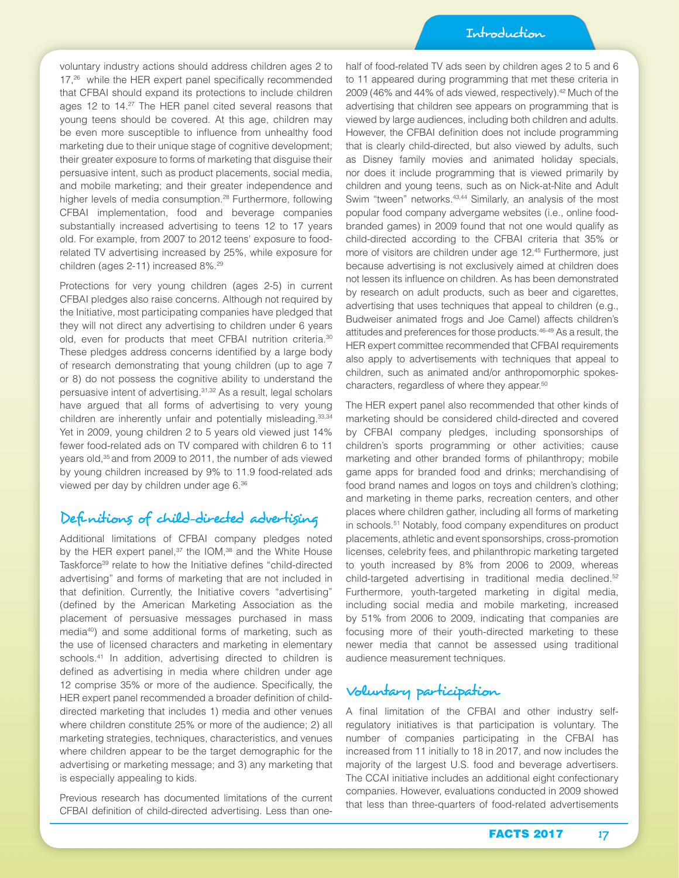voluntary industry actions should address children ages 2 to 17,<sup>26</sup> while the HER expert panel specifically recommended that CFBAI should expand its protections to include children ages 12 to 14.27 The HER panel cited several reasons that young teens should be covered. At this age, children may be even more susceptible to influence from unhealthy food marketing due to their unique stage of cognitive development; their greater exposure to forms of marketing that disguise their persuasive intent, such as product placements, social media, and mobile marketing; and their greater independence and higher levels of media consumption.<sup>28</sup> Furthermore, following CFBAI implementation, food and beverage companies substantially increased advertising to teens 12 to 17 years old. For example, from 2007 to 2012 teens' exposure to foodrelated TV advertising increased by 25%, while exposure for children (ages 2-11) increased 8%.29

Protections for very young children (ages 2-5) in current CFBAI pledges also raise concerns. Although not required by the Initiative, most participating companies have pledged that they will not direct any advertising to children under 6 years old, even for products that meet CFBAI nutrition criteria.<sup>30</sup> These pledges address concerns identified by a large body of research demonstrating that young children (up to age 7 or 8) do not possess the cognitive ability to understand the persuasive intent of advertising.31,32 As a result, legal scholars have argued that all forms of advertising to very young children are inherently unfair and potentially misleading.<sup>33,34</sup> Yet in 2009, young children 2 to 5 years old viewed just 14% fewer food-related ads on TV compared with children 6 to 11 years old,<sup>35</sup> and from 2009 to 2011, the number of ads viewed by young children increased by 9% to 11.9 food-related ads viewed per day by children under age 6.36

## Definitions of child-directed advertising

Additional limitations of CFBAI company pledges noted by the HER expert panel, $37$  the IOM, $38$  and the White House Taskforce<sup>39</sup> relate to how the Initiative defines "child-directed advertising" and forms of marketing that are not included in that definition. Currently, the Initiative covers "advertising" (defined by the American Marketing Association as the placement of persuasive messages purchased in mass media40) and some additional forms of marketing, such as the use of licensed characters and marketing in elementary schools.<sup>41</sup> In addition, advertising directed to children is defined as advertising in media where children under age 12 comprise 35% or more of the audience. Specifically, the HER expert panel recommended a broader definition of childdirected marketing that includes 1) media and other venues where children constitute 25% or more of the audience; 2) all marketing strategies, techniques, characteristics, and venues where children appear to be the target demographic for the advertising or marketing message; and 3) any marketing that is especially appealing to kids.

Previous research has documented limitations of the current CFBAI definition of child-directed advertising. Less than onehalf of food-related TV ads seen by children ages 2 to 5 and 6 to 11 appeared during programming that met these criteria in 2009 (46% and 44% of ads viewed, respectively).<sup>42</sup> Much of the advertising that children see appears on programming that is viewed by large audiences, including both children and adults. However, the CFBAI definition does not include programming that is clearly child-directed, but also viewed by adults, such as Disney family movies and animated holiday specials, nor does it include programming that is viewed primarily by children and young teens, such as on Nick-at-Nite and Adult Swim "tween" networks.<sup>43,44</sup> Similarly, an analysis of the most popular food company advergame websites (i.e., online foodbranded games) in 2009 found that not one would qualify as child-directed according to the CFBAI criteria that 35% or more of visitors are children under age 12.45 Furthermore, just because advertising is not exclusively aimed at children does not lessen its influence on children. As has been demonstrated by research on adult products, such as beer and cigarettes, advertising that uses techniques that appeal to children (e.g., Budweiser animated frogs and Joe Camel) affects children's attitudes and preferences for those products.46-49 As a result, the HER expert committee recommended that CFBAI requirements also apply to advertisements with techniques that appeal to children, such as animated and/or anthropomorphic spokescharacters, regardless of where they appear.50

The HER expert panel also recommended that other kinds of marketing should be considered child-directed and covered by CFBAI company pledges, including sponsorships of children's sports programming or other activities; cause marketing and other branded forms of philanthropy; mobile game apps for branded food and drinks; merchandising of food brand names and logos on toys and children's clothing; and marketing in theme parks, recreation centers, and other places where children gather, including all forms of marketing in schools.51 Notably, food company expenditures on product placements, athletic and event sponsorships, cross-promotion licenses, celebrity fees, and philanthropic marketing targeted to youth increased by 8% from 2006 to 2009, whereas child-targeted advertising in traditional media declined.<sup>52</sup> Furthermore, youth-targeted marketing in digital media, including social media and mobile marketing, increased by 51% from 2006 to 2009, indicating that companies are focusing more of their youth-directed marketing to these newer media that cannot be assessed using traditional audience measurement techniques.

## Voluntary participation

A final limitation of the CFBAI and other industry selfregulatory initiatives is that participation is voluntary. The number of companies participating in the CFBAI has increased from 11 initially to 18 in 2017, and now includes the majority of the largest U.S. food and beverage advertisers. The CCAI initiative includes an additional eight confectionary companies. However, evaluations conducted in 2009 showed that less than three-quarters of food-related advertisements